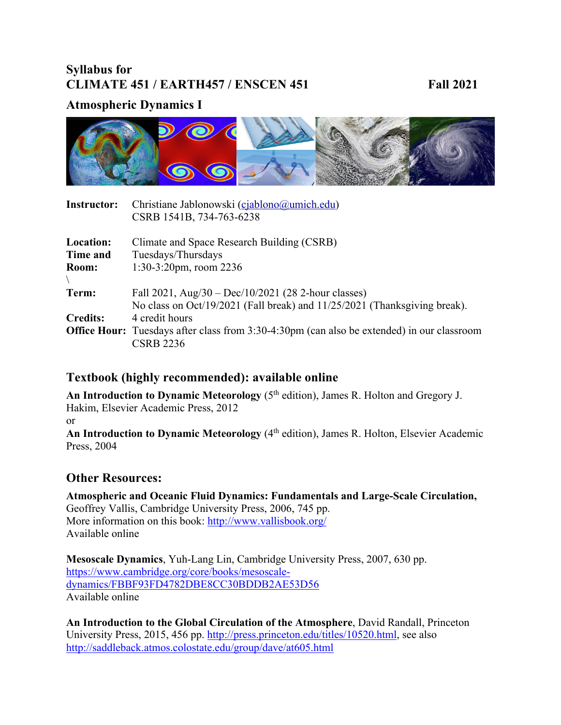# **Syllabus for CLIMATE 451 / EARTH457 / ENSCEN 451** Fall 2021

# **Atmospheric Dynamics I**



| <b>Instructor:</b> | Christiane Jablonowski (cjablono@umich.edu)                                                       |
|--------------------|---------------------------------------------------------------------------------------------------|
|                    | CSRB 1541B, 734-763-6238                                                                          |
| Location:          | Climate and Space Research Building (CSRB)                                                        |
| Time and           | Tuesdays/Thursdays                                                                                |
| Room:              | $1:30-3:20$ pm, room 2236                                                                         |
|                    |                                                                                                   |
| Term:              | Fall 2021, Aug/30 - Dec/10/2021 (28 2-hour classes)                                               |
|                    | No class on Oct/19/2021 (Fall break) and 11/25/2021 (Thanksgiving break).                         |
| <b>Credits:</b>    | 4 credit hours                                                                                    |
|                    | <b>Office Hour:</b> Tuesdays after class from 3:30-4:30pm (can also be extended) in our classroom |
|                    | <b>CSRB 2236</b>                                                                                  |

## **Textbook (highly recommended): available online**

An Introduction to Dynamic Meteorology (5<sup>th</sup> edition), James R. Holton and Gregory J. Hakim, Elsevier Academic Press, 2012 or An Introduction to Dynamic Meteorology (4<sup>th</sup> edition), James R. Holton, Elsevier Academic

## **Other Resources:**

Press, 2004

**Atmospheric and Oceanic Fluid Dynamics: Fundamentals and Large-Scale Circulation,**  Geoffrey Vallis, Cambridge University Press, 2006, 745 pp. More information on this book: http://www.vallisbook.org/ Available online

**Mesoscale Dynamics**, Yuh-Lang Lin, Cambridge University Press, 2007, 630 pp. https://www.cambridge.org/core/books/mesoscaledynamics/FBBF93FD4782DBE8CC30BDDB2AE53D56 Available online

**An Introduction to the Global Circulation of the Atmosphere**, David Randall, Princeton University Press, 2015, 456 pp. http://press.princeton.edu/titles/10520.html, see also http://saddleback.atmos.colostate.edu/group/dave/at605.html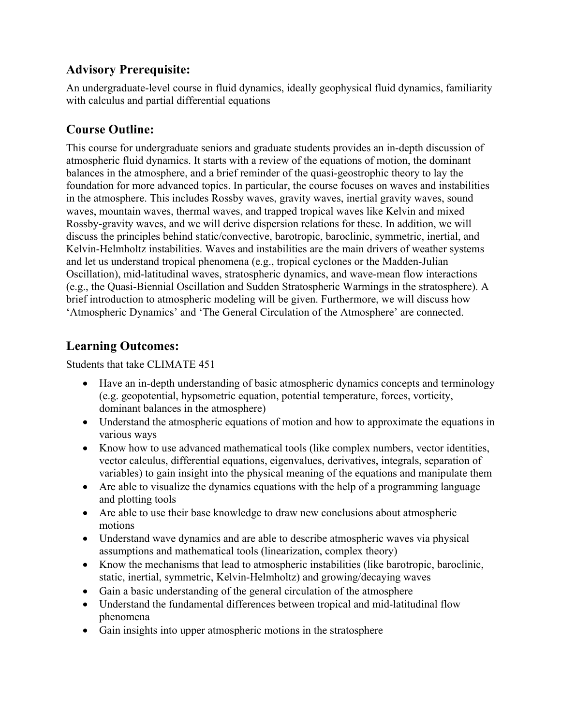# **Advisory Prerequisite:**

An undergraduate-level course in fluid dynamics, ideally geophysical fluid dynamics, familiarity with calculus and partial differential equations

# **Course Outline:**

This course for undergraduate seniors and graduate students provides an in-depth discussion of atmospheric fluid dynamics. It starts with a review of the equations of motion, the dominant balances in the atmosphere, and a brief reminder of the quasi-geostrophic theory to lay the foundation for more advanced topics. In particular, the course focuses on waves and instabilities in the atmosphere. This includes Rossby waves, gravity waves, inertial gravity waves, sound waves, mountain waves, thermal waves, and trapped tropical waves like Kelvin and mixed Rossby-gravity waves, and we will derive dispersion relations for these. In addition, we will discuss the principles behind static/convective, barotropic, baroclinic, symmetric, inertial, and Kelvin-Helmholtz instabilities. Waves and instabilities are the main drivers of weather systems and let us understand tropical phenomena (e.g., tropical cyclones or the Madden-Julian Oscillation), mid-latitudinal waves, stratospheric dynamics, and wave-mean flow interactions (e.g., the Quasi-Biennial Oscillation and Sudden Stratospheric Warmings in the stratosphere). A brief introduction to atmospheric modeling will be given. Furthermore, we will discuss how 'Atmospheric Dynamics' and 'The General Circulation of the Atmosphere' are connected.

# **Learning Outcomes:**

Students that take CLIMATE 451

- Have an in-depth understanding of basic atmospheric dynamics concepts and terminology (e.g. geopotential, hypsometric equation, potential temperature, forces, vorticity, dominant balances in the atmosphere)
- Understand the atmospheric equations of motion and how to approximate the equations in various ways
- Know how to use advanced mathematical tools (like complex numbers, vector identities, vector calculus, differential equations, eigenvalues, derivatives, integrals, separation of variables) to gain insight into the physical meaning of the equations and manipulate them
- Are able to visualize the dynamics equations with the help of a programming language and plotting tools
- Are able to use their base knowledge to draw new conclusions about atmospheric motions
- Understand wave dynamics and are able to describe atmospheric waves via physical assumptions and mathematical tools (linearization, complex theory)
- Know the mechanisms that lead to atmospheric instabilities (like barotropic, baroclinic, static, inertial, symmetric, Kelvin-Helmholtz) and growing/decaying waves
- Gain a basic understanding of the general circulation of the atmosphere
- Understand the fundamental differences between tropical and mid-latitudinal flow phenomena
- Gain insights into upper atmospheric motions in the stratosphere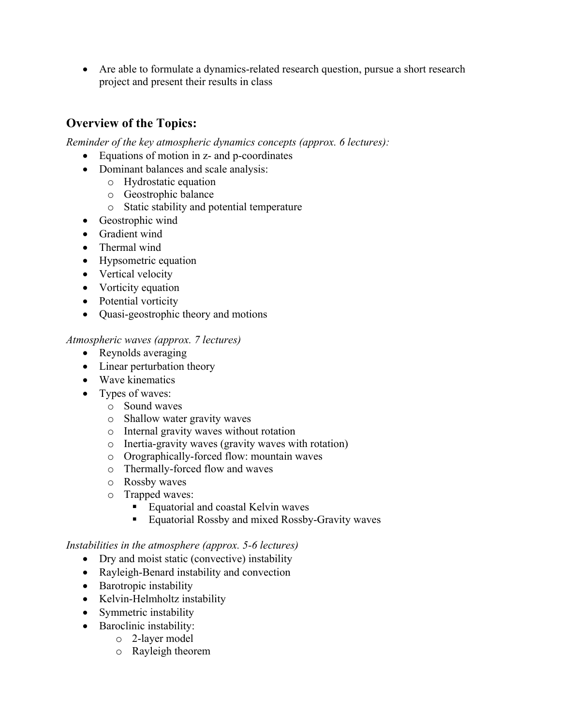• Are able to formulate a dynamics-related research question, pursue a short research project and present their results in class

# **Overview of the Topics:**

*Reminder of the key atmospheric dynamics concepts (approx. 6 lectures):* 

- Equations of motion in z- and p-coordinates
- Dominant balances and scale analysis:
	- o Hydrostatic equation
	- o Geostrophic balance
	- o Static stability and potential temperature
- Geostrophic wind
- Gradient wind
- Thermal wind
- Hypsometric equation
- Vertical velocity
- Vorticity equation
- Potential vorticity
- Quasi-geostrophic theory and motions

#### *Atmospheric waves (approx. 7 lectures)*

- Reynolds averaging
- Linear perturbation theory
- Wave kinematics
- Types of waves:
	- o Sound waves
	- o Shallow water gravity waves
	- o Internal gravity waves without rotation
	- o Inertia-gravity waves (gravity waves with rotation)
	- o Orographically-forced flow: mountain waves
	- o Thermally-forced flow and waves
	- o Rossby waves
	- o Trapped waves:
		- Equatorial and coastal Kelvin waves
		- Equatorial Rossby and mixed Rossby-Gravity waves

#### *Instabilities in the atmosphere (approx. 5-6 lectures)*

- Dry and moist static (convective) instability
- Rayleigh-Benard instability and convection
- Barotropic instability
- Kelvin-Helmholtz instability
- Symmetric instability
- Baroclinic instability:
	- o 2-layer model
	- o Rayleigh theorem